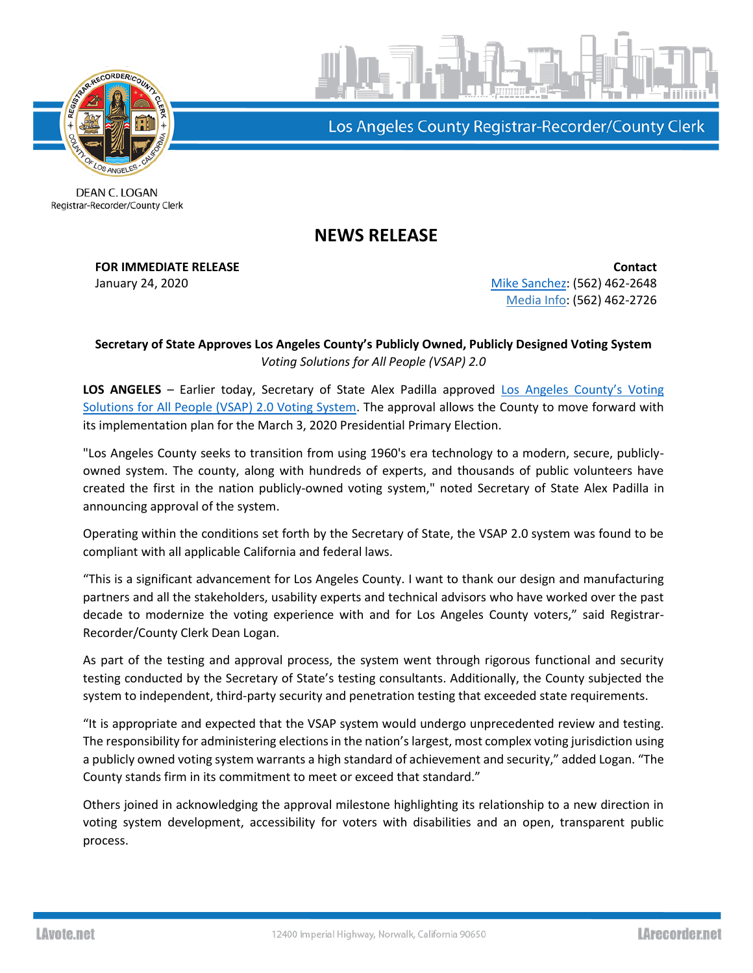

Los Angeles County Registrar-Recorder/County Clerk

**DEAN C. LOGAN** Registrar-Recorder/County Clerk

## **NEWS RELEASE**

**FOR IMMEDIATE RELEASE Contact** January 24, 2020 **[Mike Sanchez:](mailto:msanchez@rrcc.lacounty.gov)** (562) 462-2648 Media Info: (562) 462-2726

## **Secretary of State Approves Los Angeles County's Publicly Owned, Publicly Designed Voting System** *Voting Solutions for All People (VSAP) 2.0*

LOS ANGELES - Earlier today, Secretary of State Alex Padilla approved Los Angeles County's Voting [Solutions for All People \(VSAP\) 2.0 Voting System.](https://votingsystems.cdn.sos.ca.gov/vendors/LAC/vsap20-cert.pdf) The approval allows the County to move forward with its implementation plan for the March 3, 2020 Presidential Primary Election.

"Los Angeles County seeks to transition from using 1960's era technology to a modern, secure, publiclyowned system. The county, along with hundreds of experts, and thousands of public volunteers have created the first in the nation publicly-owned voting system," noted Secretary of State Alex Padilla in announcing approval of the system.

Operating within the conditions set forth by the Secretary of State, the VSAP 2.0 system was found to be compliant with all applicable California and federal laws.

"This is a significant advancement for Los Angeles County. I want to thank our design and manufacturing partners and all the stakeholders, usability experts and technical advisors who have worked over the past decade to modernize the voting experience with and for Los Angeles County voters," said Registrar-Recorder/County Clerk Dean Logan.

As part of the testing and approval process, the system went through rigorous functional and security testing conducted by the Secretary of State's testing consultants. Additionally, the County subjected the system to independent, third-party security and penetration testing that exceeded state requirements.

"It is appropriate and expected that the VSAP system would undergo unprecedented review and testing. The responsibility for administering elections in the nation's largest, most complex voting jurisdiction using a publicly owned voting system warrants a high standard of achievement and security," added Logan. "The County stands firm in its commitment to meet or exceed that standard."

Others joined in acknowledging the approval milestone highlighting its relationship to a new direction in voting system development, accessibility for voters with disabilities and an open, transparent public process.